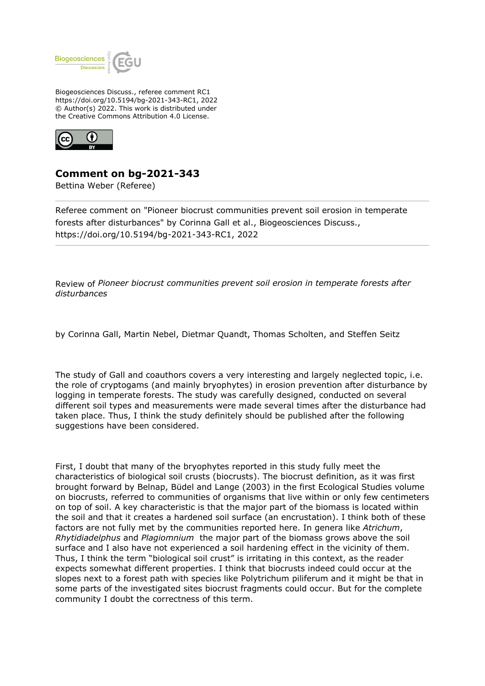

Biogeosciences Discuss., referee comment RC1 https://doi.org/10.5194/bg-2021-343-RC1, 2022 © Author(s) 2022. This work is distributed under the Creative Commons Attribution 4.0 License.



## **Comment on bg-2021-343**

Bettina Weber (Referee)

Referee comment on "Pioneer biocrust communities prevent soil erosion in temperate forests after disturbances" by Corinna Gall et al., Biogeosciences Discuss., https://doi.org/10.5194/bg-2021-343-RC1, 2022

Review of *Pioneer biocrust communities prevent soil erosion in temperate forests after disturbances*

by Corinna Gall, Martin Nebel, Dietmar Quandt, Thomas Scholten, and Steffen Seitz

The study of Gall and coauthors covers a very interesting and largely neglected topic, i.e. the role of cryptogams (and mainly bryophytes) in erosion prevention after disturbance by logging in temperate forests. The study was carefully designed, conducted on several different soil types and measurements were made several times after the disturbance had taken place. Thus, I think the study definitely should be published after the following suggestions have been considered.

First, I doubt that many of the bryophytes reported in this study fully meet the characteristics of biological soil crusts (biocrusts). The biocrust definition, as it was first brought forward by Belnap, Büdel and Lange (2003) in the first Ecological Studies volume on biocrusts, referred to communities of organisms that live within or only few centimeters on top of soil. A key characteristic is that the major part of the biomass is located within the soil and that it creates a hardened soil surface (an encrustation). I think both of these factors are not fully met by the communities reported here. In genera like *Atrichum*, *Rhytidiadelphus* and *Plagiomnium* the major part of the biomass grows above the soil surface and I also have not experienced a soil hardening effect in the vicinity of them. Thus, I think the term "biological soil crust" is irritating in this context, as the reader expects somewhat different properties. I think that biocrusts indeed could occur at the slopes next to a forest path with species like Polytrichum piliferum and it might be that in some parts of the investigated sites biocrust fragments could occur. But for the complete community I doubt the correctness of this term.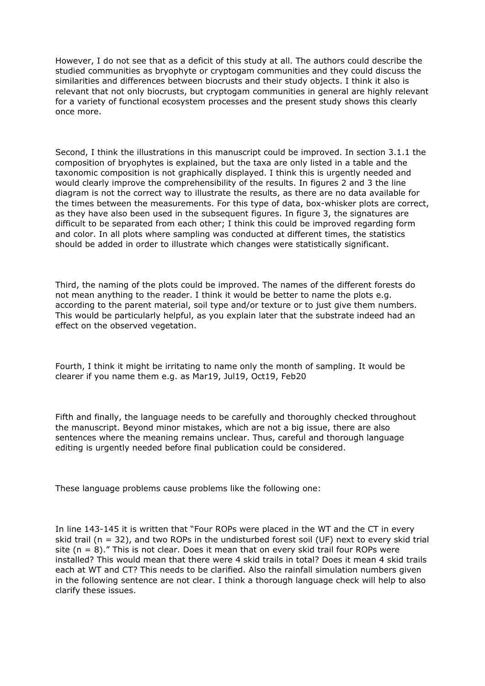However, I do not see that as a deficit of this study at all. The authors could describe the studied communities as bryophyte or cryptogam communities and they could discuss the similarities and differences between biocrusts and their study objects. I think it also is relevant that not only biocrusts, but cryptogam communities in general are highly relevant for a variety of functional ecosystem processes and the present study shows this clearly once more.

Second, I think the illustrations in this manuscript could be improved. In section 3.1.1 the composition of bryophytes is explained, but the taxa are only listed in a table and the taxonomic composition is not graphically displayed. I think this is urgently needed and would clearly improve the comprehensibility of the results. In figures 2 and 3 the line diagram is not the correct way to illustrate the results, as there are no data available for the times between the measurements. For this type of data, box-whisker plots are correct, as they have also been used in the subsequent figures. In figure 3, the signatures are difficult to be separated from each other; I think this could be improved regarding form and color. In all plots where sampling was conducted at different times, the statistics should be added in order to illustrate which changes were statistically significant.

Third, the naming of the plots could be improved. The names of the different forests do not mean anything to the reader. I think it would be better to name the plots e.g. according to the parent material, soil type and/or texture or to just give them numbers. This would be particularly helpful, as you explain later that the substrate indeed had an effect on the observed vegetation.

Fourth, I think it might be irritating to name only the month of sampling. It would be clearer if you name them e.g. as Mar19, Jul19, Oct19, Feb20

Fifth and finally, the language needs to be carefully and thoroughly checked throughout the manuscript. Beyond minor mistakes, which are not a big issue, there are also sentences where the meaning remains unclear. Thus, careful and thorough language editing is urgently needed before final publication could be considered.

These language problems cause problems like the following one:

In line 143-145 it is written that "Four ROPs were placed in the WT and the CT in every skid trail ( $n = 32$ ), and two ROPs in the undisturbed forest soil (UF) next to every skid trial site  $(n = 8)$ ." This is not clear. Does it mean that on every skid trail four ROPs were installed? This would mean that there were 4 skid trails in total? Does it mean 4 skid trails each at WT and CT? This needs to be clarified. Also the rainfall simulation numbers given in the following sentence are not clear. I think a thorough language check will help to also clarify these issues.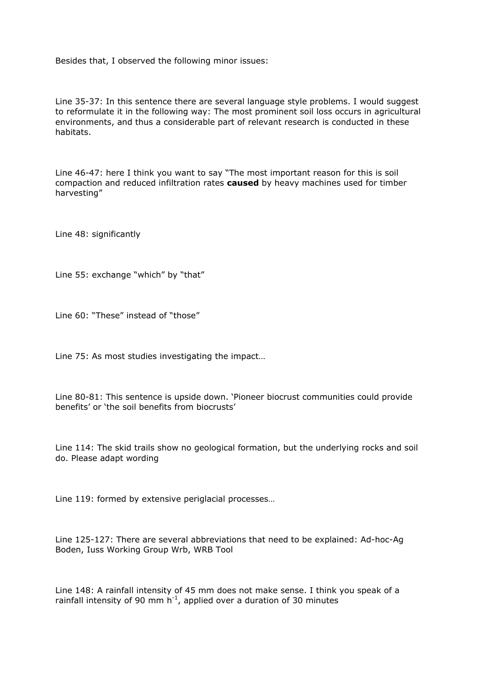Besides that, I observed the following minor issues:

Line 35-37: In this sentence there are several language style problems. I would suggest to reformulate it in the following way: The most prominent soil loss occurs in agricultural environments, and thus a considerable part of relevant research is conducted in these habitats.

Line 46-47: here I think you want to say "The most important reason for this is soil compaction and reduced infiltration rates **caused** by heavy machines used for timber harvesting"

Line 48: significantly

Line 55: exchange "which" by "that"

Line 60: "These" instead of "those"

Line 75: As most studies investigating the impact…

Line 80-81: This sentence is upside down. 'Pioneer biocrust communities could provide benefits' or 'the soil benefits from biocrusts'

Line 114: The skid trails show no geological formation, but the underlying rocks and soil do. Please adapt wording

Line 119: formed by extensive periglacial processes…

Line 125-127: There are several abbreviations that need to be explained: Ad-hoc-Ag Boden, Iuss Working Group Wrb, WRB Tool

Line 148: A rainfall intensity of 45 mm does not make sense. I think you speak of a rainfall intensity of 90 mm  $h^{-1}$ , applied over a duration of 30 minutes